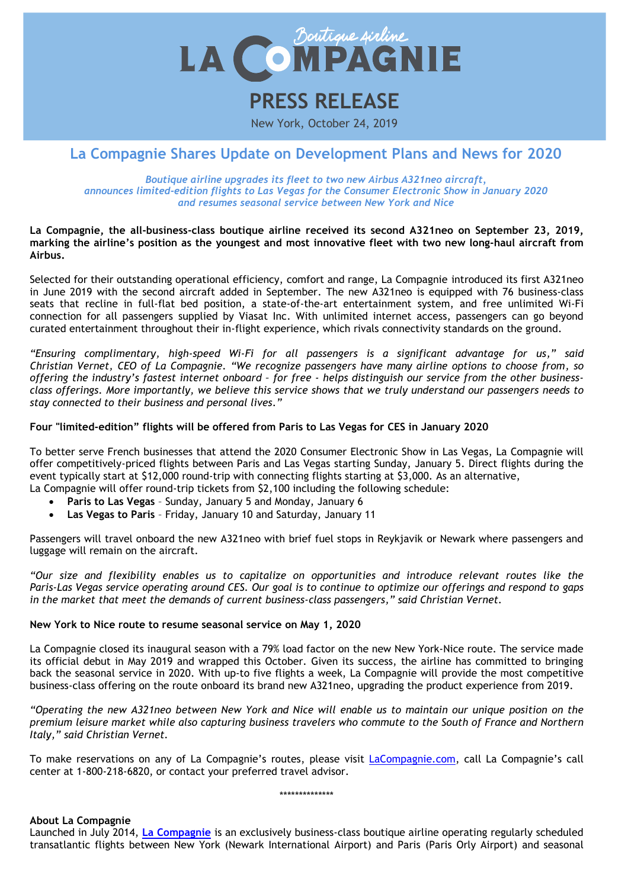

# **PRESS RELEASE**

New York, October 24, 2019

# **La Compagnie Shares Update on Development Plans and News for 2020**

*Boutique airline upgrades its fleet to two new Airbus A321neo aircraft, announces limited-edition flights to Las Vegas for the Consumer Electronic Show in January 2020 and resumes seasonal service between New York and Nice*

#### **La Compagnie, the all-business-class boutique airline received its second A321neo on September 23, 2019, marking the airline's position as the youngest and most innovative fleet with two new long-haul aircraft from Airbus.**

Selected for their outstanding operational efficiency, comfort and range, La Compagnie introduced its first A321neo in June 2019 with the second aircraft added in September. The new A321neo is equipped with 76 business-class seats that recline in full-flat bed position, a state-of-the-art entertainment system, and free unlimited Wi-Fi connection for all passengers supplied by Viasat Inc. With unlimited internet access, passengers can go beyond curated entertainment throughout their in-flight experience, which rivals connectivity standards on the ground.

*"Ensuring complimentary, high-speed Wi-Fi for all passengers is a significant advantage for us," said Christian Vernet, CEO of La Compagnie. "We recognize passengers have many airline options to choose from, so offering the industry's fastest internet onboard – for free - helps distinguish our service from the other businessclass offerings. More importantly, we believe this service shows that we truly understand our passengers needs to stay connected to their business and personal lives."*

## **Four "limited-edition" flights will be offered from Paris to Las Vegas for CES in January 2020**

To better serve French businesses that attend the 2020 Consumer Electronic Show in Las Vegas, La Compagnie will offer competitively-priced flights between Paris and Las Vegas starting Sunday, January 5. Direct flights during the event typically start at \$12,000 round-trip with connecting flights starting at \$3,000. As an alternative, La Compagnie will offer round-trip tickets from \$2,100 including the following schedule:

- **Paris to Las Vegas** Sunday, January 5 and Monday, January 6
- **Las Vegas to Paris** Friday, January 10 and Saturday, January 11

Passengers will travel onboard the new A321neo with brief fuel stops in Reykjavik or Newark where passengers and luggage will remain on the aircraft.

*"Our size and flexibility enables us to capitalize on opportunities and introduce relevant routes like the Paris-Las Vegas service operating around CES. Our goal is to continue to optimize our offerings and respond to gaps in the market that meet the demands of current business-class passengers," said Christian Vernet.*

## **New York to Nice route to resume seasonal service on May 1, 2020**

La Compagnie closed its inaugural season with a 79% load factor on the new New York-Nice route. The service made its official debut in May 2019 and wrapped this October. Given its success, the airline has committed to bringing back the seasonal service in 2020. With up-to five flights a week, La Compagnie will provide the most competitive business-class offering on the route onboard its brand new A321neo, upgrading the product experience from 2019.

*"Operating the new A321neo between New York and Nice will enable us to maintain our unique position on the premium leisure market while also capturing business travelers who commute to the South of France and Northern Italy," said Christian Vernet.*

To make reservations on any of La Compagnie's routes, please visit *LaCompagnie.com*, call La Compagnie's call center at 1-800-218-6820, or contact your preferred travel advisor.

\*\*\*\*\*\*\*\*\*\*\*\*\*\*

**About La Compagnie**

Launched in July 2014, **La [Compagnie](https://www.lacompagnie.com/en)** is an exclusively business-class boutique airline operating regularly scheduled transatlantic flights between New York (Newark International Airport) and Paris (Paris Orly Airport) and seasonal